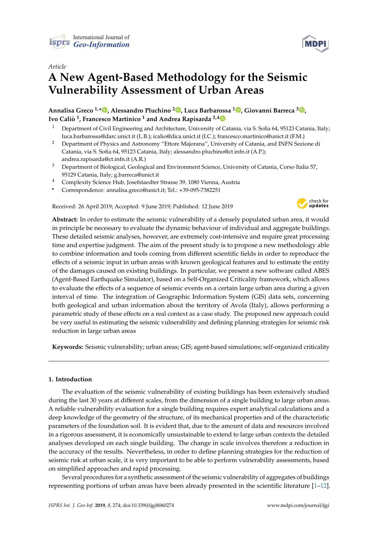

### *Article*

# **A New Agent-Based Methodology for the Seismic Vulnerability Assessment of Urban Areas**

### **Annalisa Greco 1,[\\*](https://orcid.org/0000-0003-2929-5044) , Alessandro Pluchino <sup>2</sup> [,](https://orcid.org/0000-0001-9368-5800) Luca Barbarossa <sup>1</sup> [,](https://orcid.org/0000-0001-7575-178X) Giovanni Barreca <sup>3</sup> [,](https://orcid.org/0000-0001-7424-249X) Ivo Caliò 1 , Francesco Martinico <sup>1</sup> and Andrea Rapisarda 2,[4](https://orcid.org/0000-0001-8290-8183)**

- Department of Civil Engineering and Architecture, University of Catania, via S. Sofia 64, 95123 Catania, Italy; luca.barbarossa@darc.unict.it (L.B.); icalio@dica.unict.it (I.C.); francesco.martinico@unict.it (F.M.)
- <sup>2</sup> Department of Physics and Astronomy "Ettore Majorana", University of Catania, and INFN Sezione di Catania, via S. Sofia 64, 95123 Catania, Italy; alessandro.pluchino@ct.infn.it (A.P.); andrea.rapisarda@ct.infn.it (A.R.)
- <sup>3</sup> Department of Biological, Geological and Environment Science, University of Catania, Corso Italia 57, 95129 Catania, Italy; g.barreca@unict.it
- <sup>4</sup> Complexity Science Hub, Josefstaedter Strasse 39, 1080 Vienna, Austria
- **\*** Correspondence: annalisa.greco@unict.it; Tel.: +39-095-7382251

Received: 26 April 2019; Accepted: 9 June 2019; Published: 12 June 2019



**Abstract:** In order to estimate the seismic vulnerability of a densely populated urban area, it would in principle be necessary to evaluate the dynamic behaviour of individual and aggregate buildings. These detailed seismic analyses, however, are extremely cost-intensive and require great processing time and expertise judgment. The aim of the present study is to propose a new methodology able to combine information and tools coming from different scientific fields in order to reproduce the effects of a seismic input in urban areas with known geological features and to estimate the entity of the damages caused on existing buildings. In particular, we present a new software called ABES (Agent-Based Earthquake Simulator), based on a Self-Organized Criticality framework, which allows to evaluate the effects of a sequence of seismic events on a certain large urban area during a given interval of time. The integration of Geographic Information System (GIS) data sets, concerning both geological and urban information about the territory of Avola (Italy), allows performing a parametric study of these effects on a real context as a case study. The proposed new approach could be very useful in estimating the seismic vulnerability and defining planning strategies for seismic risk reduction in large urban areas

**Keywords:** Seismic vulnerability; urban areas; GIS; agent-based simulations; self-organized criticality

### **1. Introduction**

The evaluation of the seismic vulnerability of existing buildings has been extensively studied during the last 30 years at different scales, from the dimension of a single building to large urban areas. A reliable vulnerability evaluation for a single building requires expert analytical calculations and a deep knowledge of the geometry of the structure, of its mechanical properties and of the characteristic parameters of the foundation soil. It is evident that, due to the amount of data and resources involved in a rigorous assessment, it is economically unsustainable to extend to large urban contexts the detailed analyses developed on each single building. The change in scale involves therefore a reduction in the accuracy of the results. Nevertheless, in order to define planning strategies for the reduction of seismic risk at urban scale, it is very important to be able to perform vulnerability assessments, based on simplified approaches and rapid processing.

Several procedures for a synthetic assessment of the seismic vulnerability of aggregates of buildings representing portions of urban areas have been already presented in the scientific literature [\[1–](#page-18-0)[12\]](#page-19-0).

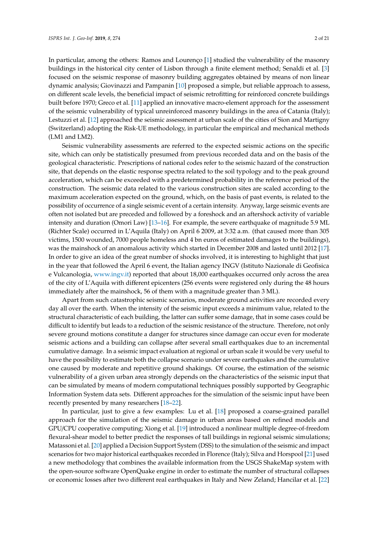In particular, among the others: Ramos and Lourenço [\[1\]](#page-18-0) studied the vulnerability of the masonry buildings in the historical city center of Lisbon through a finite element method; Senaldi et al. [\[3\]](#page-19-1) focused on the seismic response of masonry building aggregates obtained by means of non linear dynamic analysis; Giovinazzi and Pampanin [\[10\]](#page-19-2) proposed a simple, but reliable approach to assess, on different scale levels, the beneficial impact of seismic retrofitting for reinforced concrete buildings

built before 1970; Greco et al. [\[11\]](#page-19-3) applied an innovative macro-element approach for the assessment of the seismic vulnerability of typical unreinforced masonry buildings in the area of Catania (Italy); Lestuzzi et al. [\[12\]](#page-19-0) approached the seismic assessment at urban scale of the cities of Sion and Martigny (Switzerland) adopting the Risk-UE methodology, in particular the empirical and mechanical methods (LM1 and LM2).

Seismic vulnerability assessments are referred to the expected seismic actions on the specific site, which can only be statistically presumed from previous recorded data and on the basis of the geological characteristic. Prescriptions of national codes refer to the seismic hazard of the construction site, that depends on the elastic response spectra related to the soil typology and to the peak ground acceleration, which can be exceeded with a predetermined probability in the reference period of the construction. The seismic data related to the various construction sites are scaled according to the maximum acceleration expected on the ground, which, on the basis of past events, is related to the possibility of occurrence of a single seismic event of a certain intensity. Anyway, large seismic events are often not isolated but are preceded and followed by a foreshock and an aftershock activity of variable intensity and duration (Omori Law) [\[13](#page-19-4)[–16\]](#page-19-5). For example, the severe earthquake of magnitude 5.9 ML (Richter Scale) occurred in L'Aquila (Italy) on April 6 2009, at 3:32 a.m. (that caused more than 305 victims, 1500 wounded, 7000 people homeless and 4 bn euros of estimated damages to the buildings), was the mainshock of an anomalous activity which started in December 2008 and lasted until 2012 [\[17\]](#page-19-6). In order to give an idea of the great number of shocks involved, it is interesting to highlight that just in the year that followed the April 6 event, the Italian agency INGV (Istituto Nazionale di Geofisica e Vulcanologia, [www.ingv.it\)](www.ingv.it) reported that about 18,000 earthquakes occurred only across the area of the city of L'Aquila with different epicenters (256 events were registered only during the 48 hours immediately after the mainshock, 56 of them with a magnitude greater than 3 ML).

Apart from such catastrophic seismic scenarios, moderate ground activities are recorded every day all over the earth. When the intensity of the seismic input exceeds a minimum value, related to the structural characteristic of each building, the latter can suffer some damage, that in some cases could be difficult to identify but leads to a reduction of the seismic resistance of the structure. Therefore, not only severe ground motions constitute a danger for structures since damage can occur even for moderate seismic actions and a building can collapse after several small earthquakes due to an incremental cumulative damage. In a seismic impact evaluation at regional or urban scale it would be very useful to have the possibility to estimate both the collapse scenario under severe earthquakes and the cumulative one caused by moderate and repetitive ground shakings. Of course, the estimation of the seismic vulnerability of a given urban area strongly depends on the characteristics of the seismic input that can be simulated by means of modern computational techniques possibly supported by Geographic Information System data sets. Different approaches for the simulation of the seismic input have been recently presented by many researchers [\[18](#page-19-7)[–22\]](#page-19-8).

In particular, just to give a few examples: Lu et al. [\[18\]](#page-19-7) proposed a coarse-grained parallel approach for the simulation of the seismic damage in urban areas based on refined models and GPU/CPU cooperative computing; Xiong et al. [\[19\]](#page-19-9) introduced a nonlinear multiple degree-of-freedom flexural-shear model to better predict the responses of tall buildings in regional seismic simulations; Matassoni et al. [\[20\]](#page-19-10) applied a Decision Support System (DSS) to the simulation of the seismic and impact scenarios for two major historical earthquakes recorded in Florence (Italy); Silva and Horspool [\[21\]](#page-19-11) used a new methodology that combines the available information from the USGS ShakeMap system with the open-source software OpenQuake engine in order to estimate the number of structural collapses or economic losses after two different real earthquakes in Italy and New Zeland; Hancilar et al. [\[22\]](#page-19-8)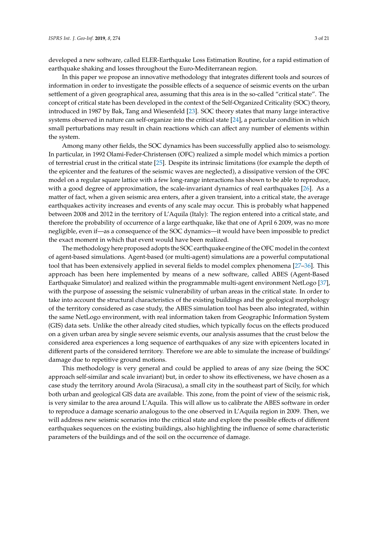developed a new software, called ELER-Earthquake Loss Estimation Routine, for a rapid estimation of earthquake shaking and losses throughout the Euro-Mediterranean region.

In this paper we propose an innovative methodology that integrates different tools and sources of information in order to investigate the possible effects of a sequence of seismic events on the urban settlement of a given geographical area, assuming that this area is in the so-called "critical state". The concept of critical state has been developed in the context of the Self-Organized Criticality (SOC) theory, introduced in 1987 by Bak, Tang and Wiesenfeld [\[23\]](#page-19-12). SOC theory states that many large interactive systems observed in nature can self-organize into the critical state [\[24\]](#page-19-13), a particular condition in which small perturbations may result in chain reactions which can affect any number of elements within the system.

Among many other fields, the SOC dynamics has been successfully applied also to seismology. In particular, in 1992 Olami-Feder-Christensen (OFC) realized a simple model which mimics a portion of terrestrial crust in the critical state [\[25\]](#page-19-14). Despite its intrinsic limitations (for example the depth of the epicenter and the features of the seismic waves are neglected), a dissipative version of the OFC model on a regular square lattice with a few long-range interactions has shown to be able to reproduce, with a good degree of approximation, the scale-invariant dynamics of real earthquakes [\[26\]](#page-20-0). As a matter of fact, when a given seismic area enters, after a given transient, into a critical state, the average earthquakes activity increases and events of any scale may occur. This is probably what happened between 2008 and 2012 in the territory of L'Aquila (Italy): The region entered into a critical state, and therefore the probability of occurrence of a large earthquake, like that one of April 6 2009, was no more negligible, even if—as a consequence of the SOC dynamics—it would have been impossible to predict the exact moment in which that event would have been realized.

The methodology here proposed adopts the SOC earthquake engine of the OFC model in the context of agent-based simulations. Agent-based (or multi-agent) simulations are a powerful computational tool that has been extensively applied in several fields to model complex phenomena [\[27](#page-20-1)[–36\]](#page-20-2). This approach has been here implemented by means of a new software, called ABES (Agent-Based Earthquake Simulator) and realized within the programmable multi-agent environment NetLogo [\[37\]](#page-20-3), with the purpose of assessing the seismic vulnerability of urban areas in the critical state. In order to take into account the structural characteristics of the existing buildings and the geological morphology of the territory considered as case study, the ABES simulation tool has been also integrated, within the same NetLogo environment, with real information taken from Geographic Information System (GIS) data sets. Unlike the other already cited studies, which typically focus on the effects produced on a given urban area by single severe seismic events, our analysis assumes that the crust below the considered area experiences a long sequence of earthquakes of any size with epicenters located in different parts of the considered territory. Therefore we are able to simulate the increase of buildings' damage due to repetitive ground motions.

This methodology is very general and could be applied to areas of any size (being the SOC approach self-similar and scale invariant) but, in order to show its effectiveness, we have chosen as a case study the territory around Avola (Siracusa), a small city in the southeast part of Sicily, for which both urban and geological GIS data are available. This zone, from the point of view of the seismic risk, is very similar to the area around L'Aquila. This will allow us to calibrate the ABES software in order to reproduce a damage scenario analogous to the one observed in L'Aquila region in 2009. Then, we will address new seismic scenarios into the critical state and explore the possible effects of different earthquakes sequences on the existing buildings, also highlighting the influence of some characteristic parameters of the buildings and of the soil on the occurrence of damage.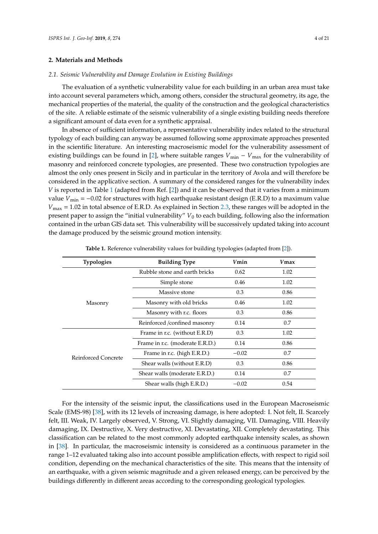#### **2. Materials and Methods**

#### *2.1. Seismic Vulnerability and Damage Evolution in Existing Buildings*

The evaluation of a synthetic vulnerability value for each building in an urban area must take into account several parameters which, among others, consider the structural geometry, its age, the mechanical properties of the material, the quality of the construction and the geological characteristics of the site. A reliable estimate of the seismic vulnerability of a single existing building needs therefore a significant amount of data even for a synthetic appraisal.

In absence of sufficient information, a representative vulnerability index related to the structural typology of each building can anyway be assumed following some approximate approaches presented in the scientific literature. An interesting macroseismic model for the vulnerability assessment of existing buildings can be found in [\[2\]](#page-19-15), where suitable ranges  $V_{\text{min}} - V_{\text{max}}$  for the vulnerability of masonry and reinforced concrete typologies, are presented. These two construction typologies are almost the only ones present in Sicily and in particular in the territory of Avola and will therefore be considered in the applicative section. A summary of the considered ranges for the vulnerability index *V* is reported in Table [1](#page-3-0) (adapted from Ref. [\[2\]](#page-19-15)) and it can be observed that it varies from a minimum value  $V_{\text{min}} = -0.02$  for structures with high earthquake resistant design (E.R.D) to a maximum value *V*max = 1.02 in total absence of E.R.D. As explained in Section [2.3,](#page-6-0) these ranges will be adopted in the present paper to assign the "initial vulnerability"  $V_0$  to each building, following also the information contained in the urban GIS data set. This vulnerability will be successively updated taking into account the damage produced by the seismic ground motion intensity.

<span id="page-3-0"></span>

| Typologies          | <b>Building Type</b>            | Vmin    | Vmax |
|---------------------|---------------------------------|---------|------|
|                     | Rubble stone and earth bricks   | 0.62    | 1.02 |
|                     | Simple stone                    | 0.46    | 1.02 |
|                     | Massive stone                   | 0.3     | 0.86 |
| Masonry             | Masonry with old bricks         | 0.46    | 1.02 |
|                     | Masonry with r.c. floors        | 0.3     | 0.86 |
|                     | Reinforced /confined masonry    | 0.14    | 0.7  |
|                     | Frame in r.c. (without E.R.D)   | 0.3     | 1.02 |
|                     | Frame in r.c. (moderate E.R.D.) | 0.14    | 0.86 |
| Reinforced Concrete | Frame in r.c. (high E.R.D.)     | $-0.02$ | 0.7  |
|                     | Shear walls (without E.R.D)     | 0.3     | 0.86 |
|                     | Shear walls (moderate E.R.D.)   | 0.14    | 0.7  |
|                     | Shear walls (high E.R.D.)       | $-0.02$ | 0.54 |

**Table 1.** Reference vulnerability values for building typologies (adapted from [\[2\]](#page-19-15)).

For the intensity of the seismic input, the classifications used in the European Macroseismic Scale (EMS-98) [\[38\]](#page-20-4), with its 12 levels of increasing damage, is here adopted: I. Not felt, II. Scarcely felt, III. Weak, IV. Largely observed, V. Strong, VI. Slightly damaging, VII. Damaging, VIII. Heavily damaging, IX. Destructive, X. Very destructive, XI. Devastating, XII. Completely devastating. This classification can be related to the most commonly adopted earthquake intensity scales, as shown in [\[38\]](#page-20-4). In particular, the macroseismic intensity is considered as a continuous parameter in the range 1–12 evaluated taking also into account possible amplification effects, with respect to rigid soil condition, depending on the mechanical characteristics of the site. This means that the intensity of an earthquake, with a given seismic magnitude and a given released energy, can be perceived by the buildings differently in different areas according to the corresponding geological typologies.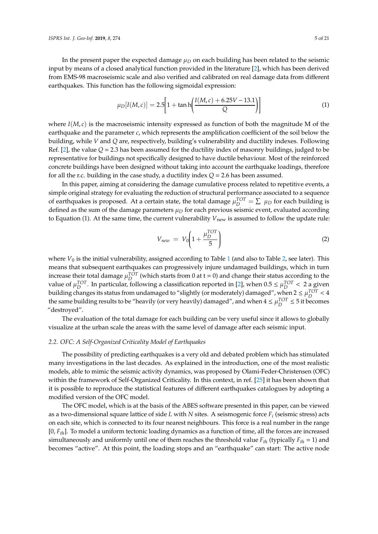In the present paper the expected damage  $\mu_D$  on each building has been related to the seismic input by means of a closed analytical function provided in the literature [\[2\]](#page-19-15), which has been derived from EMS-98 macroseismic scale and also verified and calibrated on real damage data from different earthquakes. This function has the following sigmoidal expression:

$$
\mu_D[I(M,c)] = 2.5 \left[ 1 + \tan \frac{I(M,c) + 6.25V - 13.1}{Q} \right] \tag{1}
$$

where  $I(M, c)$  is the macroseismic intensity expressed as function of both the magnitude M of the earthquake and the parameter *c*, which represents the amplification coefficient of the soil below the building, while *V* and *Q* are, respectively, building's vulnerability and ductility indexes. Following Ref. [\[2\]](#page-19-15), the value  $Q = 2.3$  has been assumed for the ductility index of masonry buildings, judged to be representative for buildings not specifically designed to have ductile behaviour. Most of the reinforced concrete buildings have been designed without taking into account the earthquake loadings, therefore for all the r.c. building in the case study, a ductility index *Q* = 2.6 has been assumed.

In this paper, aiming at considering the damage cumulative process related to repetitive events, a simple original strategy for evaluating the reduction of structural performance associated to a sequence of earthquakes is proposed. At a certain state, the total damage  $\mu_D^{TOT} = \sum \mu_D$  for each building is defined as the sum of the damage parameters  $\mu_D$  for each previous seismic event, evaluated according to Equation (1). At the same time, the current vulnerability  $V_{\text{new}}$  is assumed to follow the update rule:

$$
V_{new} = V_0 \left( 1 + \frac{\mu_D^{TOT}}{5} \right) \tag{2}
$$

where  $V_0$  is the initial vulnerability, assigned according to Table [1](#page-3-0) (and also to Table [2,](#page-8-0) see later). This means that subsequent earthquakes can progressively injure undamaged buildings, which in turn increase their total damage  $\mu_D^{TOT}$  (which starts from 0 at t = 0) and change their status according to the value of  $\mu_D^{TOT}$ . In particular, following a classification reported in [\[2\]](#page-19-15), when  $0.5 \leq \mu_D^{TOT} < 2$  a given building changes its status from undamaged to "slightly (or moderately) damaged", when  $2 \leq \mu_D^{TOT} < 4$ the same building results to be "heavily (or very heavily) damaged", and when  $4 \leq \mu_D^{TOT} \leq 5$  it becomes "destroyed".

The evaluation of the total damage for each building can be very useful since it allows to globally visualize at the urban scale the areas with the same level of damage after each seismic input.

### *2.2. OFC: A Self-Organized Criticality Model of Earthquakes*

The possibility of predicting earthquakes is a very old and debated problem which has stimulated many investigations in the last decades. As explained in the introduction, one of the most realistic models, able to mimic the seismic activity dynamics, was proposed by Olami-Feder-Christensen (OFC) within the framework of Self-Organized Criticality. In this context, in ref. [\[25\]](#page-19-14) it has been shown that it is possible to reproduce the statistical features of different earthquakes catalogues by adopting a modified version of the OFC model.

The OFC model, which is at the basis of the ABES software presented in this paper, can be viewed as a two-dimensional square lattice of side *L* with *N* sites. A seismogenic force *F<sup>i</sup>* (seismic stress) acts on each site, which is connected to its four nearest neighbours. This force is a real number in the range [0, *Fth*]. To model a uniform tectonic loading dynamics as a function of time, all the forces are increased simultaneously and uniformly until one of them reaches the threshold value  $F_{th}$  (typically  $F_{th} = 1$ ) and becomes "active". At this point, the loading stops and an "earthquake" can start: The active node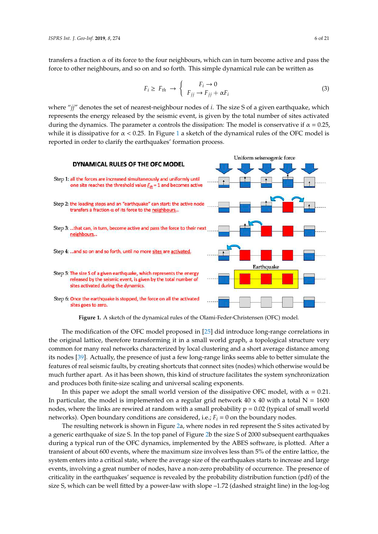transfers a fraction α of its force to the four neighbours, which can in turn become active and pass the force to other neighbours, and so on and so forth. This simple dynamical rule can be written as

$$
F_i \ge F_{th} \to \begin{cases} F_i \to 0\\ F_{jj} \to F_{jj} + \alpha F_i \end{cases}
$$
 (3)

where "*jj*" denotes the set of nearest-neighbour nodes of *i*. The size S of a given earthquake, which represents the energy released by the seismic event, is given by the total number of sites activated during the dynamics. The parameter  $\alpha$  controls the dissipation: The model is conservative if  $\alpha$  = 0.25, while it is dissipative for  $\alpha$  < 0.25. In Figure [1](#page-5-0) a sketch of the dynamical rules of the OFC model is reported in order to clarify the earthquakes' formation process.

<span id="page-5-0"></span>

**Figure 1.** A sketch of the dynamical rules of the Olami-Feder-Christensen (OFC) model. **Figure 1.** A sketch of the dynamical rules of the Olami-Feder-Christensen (OFC) model.

The modification of the OFC model proposed in [25] did introduce long-range correlations in The modification of the OFC model proposed in [\[25\]](#page-19-14) did introduce long-range correlations in the original lattice, therefore transforming it in a small world graph, a topological structure very the original lattice, therefore transforming it in a small world graph, a topological structure very common for many real networks characterized by local clustering and a short average distance common for many real networks characterized by local clustering and a short average distance among its nodes [\[39\]](#page-20-5). Actually, the presence of just a few long-range links seems able to better simulate the features of real seismic faults, by creating shortcuts that connect sites (nodes) which otherwise would be much further apart. As it has been shown, this kind of structure facilitates the system synchronization and produces both finite-size scaling and universal scaling exponents.

In this paper we adopt the small world version of the dissipative OFC model, with  $\alpha = 0.21$ . In particular, the model is implemented on a regular grid network  $40 \times 40$  with a total N = 1600 nodes, where the links are rewired at random with a small probability  $\rm p$  = 0.02 (typical of small world networks). Open boundary conditions are considered, i.e.; *Fi* = 0 on the boundary nodes. networks). Open boundary conditions are considered, i.e.; *F<sup>i</sup>* = 0 on the boundary nodes.

The resulting network is shown in Figure [2a](#page-6-1), where nodes in red represent the S sites activated by a generic earthquake of size S. In the top panel of Figure [2b](#page-6-1) the size S of 2000 subsequent earthquakes during a typical run of the OFC dynamics, implemented by the ABES software, is plotted. After a transient of about 600 events, where the maximum size involves less than 5% of the entire lattice, the system enters into a critical state, where the average size of the earthquakes starts to increase and large events, involving a great number of nodes, have a non-zero probability of occurrence. The presence of criticality in the earthquakes' sequence is revealed by the probability distribution function (pdf) of the size S, which can be well fitted by a power-law with slope –1.72 (dashed straight line) in the log-log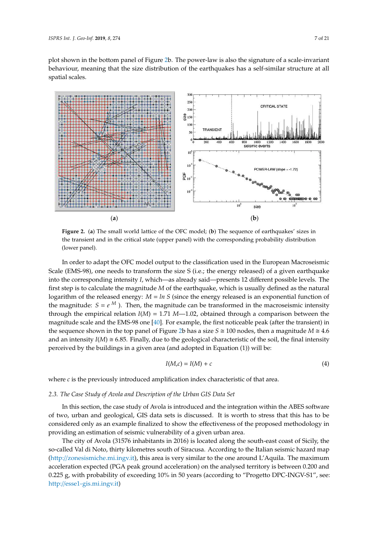plot shown in the bottom panel of Figure [2b](#page-6-1). The power-law is also the signature of a scale-invariant behaviour, meaning that the size distribution of the earthquakes has a self-similar structure at all spatial scales. *ISPRS Int. J. Geo-Inf.* **2019**, *8*, x FOR PEER REVIEW 7 of 22

<span id="page-6-1"></span>

Figure 2. (a) The small world lattice of the OFC model; (b) The sequence of earthquakes' sizes in the transient and in the critical state (upper panel) with the corresponding probability distribution (lower panel).

In order to adapt the OFC model output to the classification used in the European Macroseismic In order to adapt the OFC model output to the classification used in the European Macroseismic Scale (EMS-98), one needs to transform the size S (i.e.; the energy released) of a given earthquake into the corresponding intensity *I*, which—as already said—presents 12 different possible levels. The step is to calculate the magnitude *M* of the earthquake, which is usually defined as the natural first step is to calculate the magnitude *M* of the earthquake, which is usually defined as the natural logarithm of the released energy:  $M = ln S$  (since the energy released is an exponential function of the magnitude:  $S = e^M$ ). Then, the magnitude can be transformed in the macroseismic intensity through the empirical relation  $I(M) = 1.71 M \rightarrow 1.02$ , obtained through a comparison between the magnitude scale and the EMS-98 one [\[40\]](#page-20-6). For example, the first noticeable peak (after the transient) in the sequence shown in the top panel of Figure 2b has a size  $S \cong 100$  nodes, then a magnitude  $M \cong 4.6$ and an intensity  $I(M) \cong 6.85$ . Finally, due to the geological characteristic of the soil, the final intensity perceived by the buildings in a given area (and adopted in Equation (1)) will be: perceived by the buildings in a given area (and adopted in Equation (1)) will be:

$$
I(M,c) = I(M) + c \tag{4}
$$

where *c* is the previously introduced amplification index characteristic of that area.

# <span id="page-6-0"></span>*2.3. The Case Study of Avola and Description of the Urban GIS Data Set 2.3. The Case Study of Avola and Description of the Urban GIS Data Set*

In this section, the case study of Avola is introduced and the integration within the ABES In this section, the case study of Avola is introduced and the integration within the ABES software software of two data sets is detected and the integration within the risks software of two, urban and geological, GIS data sets is discussed. It is worth to stress that this has to be considered only as an example finalized to show the effectiveness of the proposed methodology in providing an estimation of seismic vulnerability of a given urban area.<br>The south-east coast of Sicily, the south-east coast of Sicily, the south-east coast of Sicily, the south-east

The city of Avola (31576 inhabitants in 2016) is located along the south-east coast of Sicily, the Italian seismic hazard in 1974. so-called Val di Noto, thirty kilometres south of Siracusa. According to the Italian seismic hazard map<br>A una diameter is a control of the control of Siracusa. According to the Italian seismic hazard map (http://[zonesismiche.mi.ingv.it\)](http://zonesismiche.mi.ingv.it), this area is very similar to the one around L'Aquila. The maximum<br>
1990 - 1990 - 1990 - 1990 - 1990 - 1990 - 1990 - 1990 - 1990 - 1990 - 1990 - 1990 - 1990 - 1990 - 1990 - 1990 acceleration expected (PGA peak ground acceleration) on the analysed territory is between 0.200 and<br>acceleration expected (PGA peak ground acceleration) on the analysed territory is between 0.200 and 0.225 g, with probability of exceeding 10% in 50 years (according to "Progetto DPC-INGV-S1", see:<br>.  $\alpha$  and  $\beta$  mathematic that his 1693 by a major earthquake that his  $\alpha$  major earthquake that  $\beta$ http://[esse1-gis.mi.ingv.it\)](http://esse1-gis.mi.ingv.it)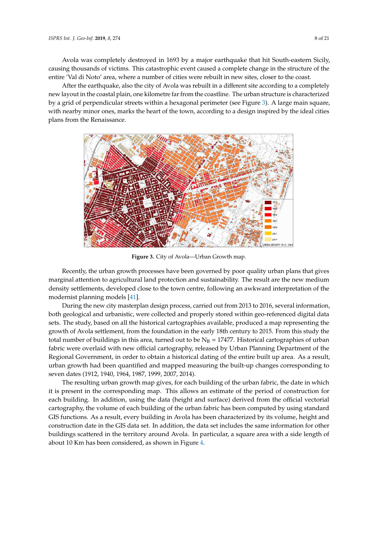Avola was completely destroyed in 1693 by a major earthquake that hit South-eastern Sicily, causing thousands of victims. This catastrophic event caused a complete change in the structure of the entire 'Val di Noto' area, where a number of cities were rebuilt in new sites, closer to the coast.

After the earthquake, also the city of Avola was rebuilt in a different site according to a completely new layout in the coastal plain, one kilometre far from the coastline. The urban structure is characterized by a grid of perpendicular streets within a hexagonal perimeter (see Figure [3\)](#page-7-0). A large main square, with nearby minor ones, marks the heart of the town, according to a design inspired by the ideal cities<br>plane from the Benaissance plans from the Renaissance.

<span id="page-7-0"></span>

**Figure 3.** City of Avola—Urban Growth map. **Figure 3.** City of Avola—Urban Growth map.

marginal attention to agricultural land protection and sustainability. The result are the new medium density settlements, developed close to the town centre, following an awkward interpretation of the modernist planning models [\[41\]](#page-20-7). Recently, the urban growth processes have been governed by poor quality urban plans that gives

During the new city masterplan design process, carried out from 2013 to 2016, several information, both geological and urbanistic, were collected and properly stored within geo-referenced digital data sets. The study, based on all the historical cartographies available, produced a map representing the growth of Avola settlement, from the foundation in the early 18th century to 2015. From this study the total number of buildings in this area, turned out to be  $N_B = 17477$ . Historical cartographies of urban fabric were overlaid with new official cartography, released by Urban Planning Department of the Regional Government, in order to obtain a historical dating of the entire built up area. As a result, urban growth had been quantified and mapped measuring the built-up changes corresponding to  $b$ urban dates (1912, 1940, 1964, 1987, 1999, 2007, 2014).

The resulting urban growth map gives, for each building of the urban fabric, the date in which it is present in the corresponding map. This allows an estimate of the period of construction for each building. In addition, using the data (height and surface) derived from the official vectorial cartography, the volume of each building of the urban fabric has been computed by using standard GIS functions. As a result, every building in Avola has been characterized by its volume, height and construction date in the GIS data set. In addition, the data set includes the same information for other buildings scattered in the territory around Avola. In particular, a square area with a side length of about 10 Km has been considered, as shown in Figure [4.](#page-8-1)  $\overline{a}$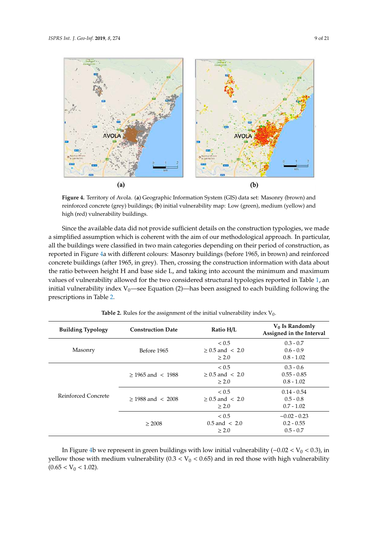<span id="page-8-1"></span>

reinforced concrete (grey) buildings; (**b**) initial vulnerability map: Low (green), medium (yellow) and high (red) vulnerability buildings. **Exercise of the concretent of the concretent** of  $\alpha$ **Figure 4.** Territory of Avola. (**a**) Geographic Information System (GIS) data set: Masonry (brown) and

a simplified assumption which is coherent with the aim of our methodological approach. In particular, all the buildings were classified in two main categories depending on their period of construction, as reported in Figure 4a with different colours: Masonry [b](#page-8-1)uildings (before 1965, in brown) and reinforced concrete buildings (after 1965, in grey). Then, crossing the construction information with data about the ratio between height H and base side L, and taking into account the minimum and maximum values of vulnerability allowed for the two considered structural typologies reported in Table [1,](#page-3-0) an initial vulnerability index  $V_0$ —see Equation (2)—has been assigned to each building following the prescriptions in Table 2. Since the available data did not provide sufficient details on the construction typologies, we made

<span id="page-8-0"></span>

| <b>Building Typology</b> | <b>Construction Date</b> | Ratio H/L            | $V_0$ Is Randomly<br>Assigned in the Interval |  |  |  |
|--------------------------|--------------------------|----------------------|-----------------------------------------------|--|--|--|
|                          |                          | ${}_{< 0.5}$         | $0.3 - 0.7$                                   |  |  |  |
| Masonry                  | Before 1965              | $> 0.5$ and $< 2.0$  | $0.6 - 0.9$                                   |  |  |  |
|                          |                          | > 2.0                | $0.8 - 1.02$                                  |  |  |  |
|                          |                          | < 0.5                | $0.3 - 0.6$                                   |  |  |  |
|                          | $>$ 1965 and $\leq$ 1988 | $> 0.5$ and $< 2.0$  | $0.55 - 0.85$                                 |  |  |  |
|                          |                          | > 2.0                | $0.8 - 1.02$                                  |  |  |  |
|                          |                          | < 0.5                | $0.14 - 0.54$                                 |  |  |  |
| Reinforced Concrete      | $>$ 1988 and $<$ 2008    | $> 0.5$ and $< 2.0$  | $0.5 - 0.8$                                   |  |  |  |
|                          |                          | > 2.0                |                                               |  |  |  |
|                          |                          | < 0.5                | $-0.02 - 0.23$                                |  |  |  |
|                          | > 2008                   | $0.5$ and $\leq 2.0$ | $0.2 - 0.55$                                  |  |  |  |
|                          |                          | $\geq 2.0$           | $0.5 - 0.7$                                   |  |  |  |

**Table 2.** Rules for the assignment of the initial vulnerability index  $V_0$ .

In Figure [4b](#page-8-1) we represent in green buildings with low initial vulnerability ( $-0.02 < V_0 < 0.3$ ), in yellow those with medium vulnerability ( $0.3 < V_0 < 0.65$ ) and in red those with high vulnerability  $(0.65 < V_0 < 1.02)$ .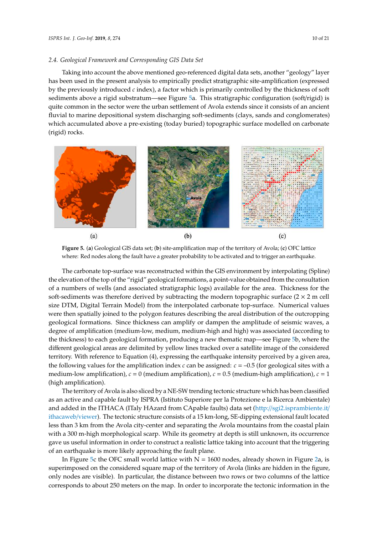### 2.4. Geological Framework and Corresponding GIS Data Set

Taking into account the above mentioned geo-referenced digital data sets, another "geology" layer has been used in the present analysis to empirically predict stratigraphic site-amplification (expressed Interest and the present analysis to empirican, predict stranginpric site amplification (expressed<br>by the previously introduced *c* index), a factor which is primarily controlled by the thickness of soft  $\epsilon$ , and previously introduced contactly, a factor which is primality configuration (soft/rigid) is sediments above a rigid substratum—see Figure [5a](#page-9-0). This stratigraphic configuration (soft/rigid) is put the different areas are different geological areas are different comparison (boxyright) to quite common in the sector were the urban settlement of Avola extends since it consists of an ancient quite continued in the sector were the disease solution of the earth softends since to estimate of the intensity.<br>fluvial to marine depositional system discharging soft-sediments (clays, sands and conglomerates) matrix to matrix approximation by such anothinging services meaning (exays) sames and conglementes)<br>which accumulated above a pre-existing (today buried) topographic surface modelled on carbonate (rigid) rocks. extended sites with a medium-low amplification of  $($ c  $\alpha$ <sub>i</sub>  $)$ ,  $\alpha$  (medium amplification),  $\alpha$  or  $\alpha$  (medium-low amplification),  $\alpha$  and  $\alpha$ high amplification), *c* = 1 (high amplification).

<span id="page-9-0"></span>

**Figure 5.** (**a**) Geological GIS data set; (**b**) site-amplification map of the territory of Avola; (**c**) OFC where: Red nodes along the fault have a greater probability to be activated and to trigger an earthquake.<br> **Figure 5.** (**a**) Geological GIS data set; (**b**) site-amplification map of the territory of Avola; (**c**) OFC lattice

The carbonate top-surface was reconstructed within the GIS environment by interpolating (Spline) of a numbers of wells (and associated stratigraphic logs) available for the area. Thickness for the soft-sediments was therefore derived by subtracting the modern topographic surface (2  $\times$  2 m cell size DTM, Digital Terrain Model) from the interpolated carbonate top-surface. Numerical values were then spatially joined to the polygon features describing the areal distribution of the outcropping geological formations. Since thickness can amplify or dampen the amplitude of seismic waves, a degree of amplification (medium-low, medium, medium-high and high) was associated (according to the thickness) to each geological formation, producing a new thematic map—see Figure [5b](#page-9-0), where the different geological areas are delimited by yellow lines tracked over a satellite image of the considered the elevation of the top of the "rigid" geological formations, a point-value obtained from the consultation territory. With reference to Equation (4), expressing the earthquake intensity perceived by a given area, the following values for the amplification index *c* can be assigned:  $c = -0.5$  (for geological sites with a medium-low amplification),  $c = 0$  (medium amplification),  $c = 0.5$  (medium-high amplification),  $c = 1$ (high amplification).

The territory of Avola is also sliced by a NE-SW trending tectonic structure which has been classified as an active and capable fault by ISPRA (Istituto Superiore per la Protezione e la Ricerca Ambientale) and added in the ITHACA (ITaly HAzard from CApable faults) data set (http://[sgi2.isprambiente.it](http://sgi2.isprambiente.it/ithacaweb/viewer)/ [ithacaweb](http://sgi2.isprambiente.it/ithacaweb/viewer)/viewer). The tectonic structure consists of a 15 km-long, SE-dipping extensional fault located less than 3 km from the Avola city-center and separating the Avola mountains from the coastal plain with a 300 m-high morphological scarp. While its geometry at depth is still unknown, its occurrence gave us useful information in order to construct a realistic lattice taking into account that the triggering of an earthquake is more likely approaching the fault plane.

In Figure [5c](#page-9-0) the OFC small world lattice with  $N = 1600$  nodes, already shown in Figure [2a](#page-6-1), is superimposed on the considered square map of the territory of Avola (links are hidden in the figure, only nodes are visible). In particular, the distance between two rows or two columns of the lattice corresponds to about 250 meters on the map. In order to incorporate the tectonic information in the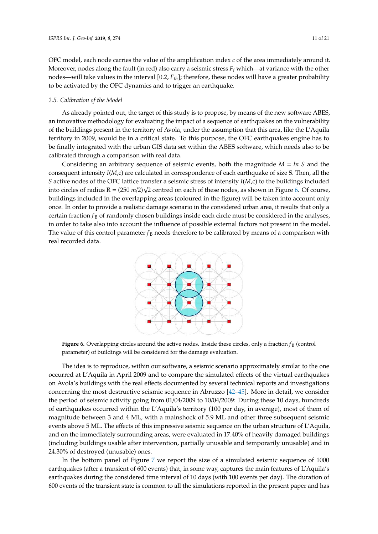OFC model, each node carries the value of the amplification index *c* of the area immediately around it. Moreover, nodes along the fault (in red) also carry a seismic stress  $F_i$  which—at variance with the other nodes—will take values in the interval  $[0.2, F_{th}]$ ; therefore, these nodes will have a greater probability to be activated by the OFC dynamics and to trigger an earthquake.

### *2.5. Calibration of the Model 2.5. Calibration of the Model*

As already pointed out, the target of this study is to propose, by means of the new software ABES, As already pointed out, the target of this study is to propose, by means of the new software an innovative methodology for evaluating the impact of a sequence of earthquakes on the vulnerability of the buildings present in the territory of Avola, under the assumption that this area, like the L'Aquila territory in 2009, would be in a critical state. To this purpose, the OFC earthquakes engine has to be finally integrated with the urban GIS data set within the ABES software, which needs also to be calibrated through a comparison with real data. also to be calibrated through a comparison with real data.

Considering an arbitrary sequence of seismic events, both the magnitude *M* = *ln S* and the Considering an arbitrary sequence of seismic events, both the magnitude *M* = *ln S* and the consequent intensity  $I(M,c)$  are calculated in correspondence of each earthquake of size S. Then, all the S active nodes of the OFC lattice transfer a seismic stress of intensity  $I(M,c)$  to the buildings included S acuve nodes of the OFC fattice transfer a seismic stress of intensity  $I(M,C)$  to the buildings included into circles of radius R = (250 *m*/2)√2 centred o[n](#page-10-0) each of these nodes, as shown in Figure 6. Of course, buildings included in the overlapping areas (coloured in the figure) will be taken into account only once. In order to provide a realistic damage scenario in the considered urban area, it results that only a certain fraction  $f_B$  of randomly chosen buildings inside each circle must be considered in the analyses, in order to take also into account the influence of possible external factors not present in the model. The value of this control parameter  $f_B$  needs therefore to be calibrated by means of a comparison with real recorded data.

<span id="page-10-0"></span>

parameter) of buildings will be considered for the damage evaluation. parameter) of buildings will be considered for the damage evaluation. **Figure 6.** Overlapping circles around the active nodes. Inside these circles, only a fraction  $f_B$  (control

occurred at L'Aquila in April 2009 and to compare the simulated effects of the virtual earthquakes on Avola's buildings with the real effects documented by several technical reports and investigations concerning the most destructive seismic sequence in Abruzzo [\[42](#page-20-8)[–45\]](#page-20-9). More in detail, we consider the period of seismic activity going from 01/04/2009 to 10/04/2009: During these 10 days, hundreds of earthquakes occurred within the L'Aquila's territory (100 per day, in average), most of them of magnitude between 3 and 4 ML, with a mainshock of 5.9 ML and other three subsequent seismic events above 5 ML. The effects of this impressive seismic sequence on the urban structure of L'Aquila, and on the immediately surrounding areas, were evaluated in 17.40% of heavily damaged buildings (including buildings usable after intervention, partially unusable and temporarily unusable) and in 24.30% of destroyed (unusable) ones. The idea is to reproduce, within our software, a seismic scenario approximately similar to the one

In the bottom panel of Figure [7](#page-12-0) we report the size of a simulated seismic sequence of 1000 earthquakes (after a transient of 600 events) that, in some way, captures the main features of L'Aquila's earthquakes during the considered time interval of 10 days (with 100 events per day). The duration of 600 events of the transient state is common to all the simulations reported in the present paper and has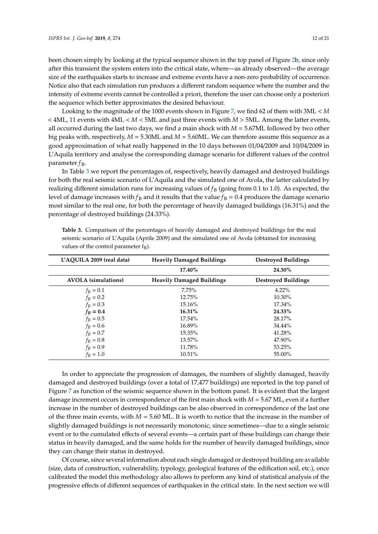been chosen simply by looking at the typical sequence shown in the top panel of Figure [2b](#page-6-1), since only after this transient the system enters into the critical state, where—as already observed—the average size of the earthquakes starts to increase and extreme events have a non-zero probability of occurrence. Notice also that each simulation run produces a different random sequence where the number and the intensity of extreme events cannot be controlled a priori, therefore the user can choose only a posteriori the sequence which better approximates the desired behaviour.

Looking to the magnitude of the 1000 events shown in Figure [7,](#page-12-0) we find 62 of them with 3ML < *M* < 4ML, 11 events with 4ML < *M* < 5ML and just three events with *M* > 5ML. Among the latter events, all occurred during the last two days, we find a main shock with *M* = 5.67ML followed by two other big peaks with, respectively, *M* = 5.30ML and *M* = 5.60ML. We can therefore assume this sequence as a good approximation of what really happened in the 10 days between 01/04/2009 and 10/04/2009 in L'Aquila territory and analyse the corresponding damage scenario for different values of the control parameter  $f_B$ .

In Table [3](#page-11-0) we report the percentages of, respectively, heavily damaged and destroyed buildings for both the real seismic scenario of L'Aquila and the simulated one of Avola, the latter calculated by realizing different simulation runs for increasing values of  $f<sub>B</sub>$  (going from 0.1 to 1.0). As expected, the level of damage increases with  $f_B$  and it results that the value  $f_B = 0.4$  produces the damage scenario most similar to the real one, for both the percentage of heavily damaged buildings (16.31%) and the percentage of destroyed buildings (24.33%).

| L'AQUILA 2009 (real data)  | <b>Heavily Damaged Buildings</b> | <b>Destroyed Buildings</b> |
|----------------------------|----------------------------------|----------------------------|
|                            | 17.40%                           | 24.30%                     |
| <b>AVOLA</b> (simulations) | <b>Heavily Damaged Buildings</b> | <b>Destroyed Buildings</b> |
| $f_B = 0.1$                | 7.75%                            | $4.22\%$                   |
| $f_B = 0.2$                | 12.75%                           | 10.30%                     |
| $f_B = 0.3$                | 15.16%                           | 17.34%                     |
| $f_B = 0.4$                | 16.31%                           | 24.33%                     |
| $f_B = 0.5$                | 17.54%                           | 28.17%                     |
| $f_B = 0.6$                | 16.89%                           | 34.44%                     |
| $f_B = 0.7$                | 15.35%                           | 41.28%                     |
| $f_B = 0.8$                | 13.57%                           | 47.90%                     |
| $f_B = 0.9$                | 11.78%                           | 53.25%                     |
| $f_B = 1.0$                | 10.51%                           | 55.00%                     |

<span id="page-11-0"></span>**Table 3.** Comparison of the percentages of heavily damaged and destroyed buildings for the real seismic scenario of L'Aquila (Aprile 2009) and the simulated one of Avola (obtained for increasing values of the control parameter  $f_B$ ).

In order to appreciate the progression of damages, the numbers of slightly damaged, heavily damaged and destroyed buildings (over a total of 17,477 buildings) are reported in the top panel of Figure [7](#page-12-0) as function of the seismic sequence shown in the bottom panel. It is evident that the largest damage increment occurs in correspondence of the first main shock with *M* = 5.67 ML, even if a further increase in the number of destroyed buildings can be also observed in correspondence of the last one of the three main events, with *M* = 5.60 ML. It is worth to notice that the increase in the number of slightly damaged buildings is not necessarily monotonic, since sometimes—due to a single seismic event or to the cumulated effects of several events—a certain part of these buildings can change their status in heavily damaged, and the same holds for the number of heavily damaged buildings, since they can change their status in destroyed.

Of course, since several information about each single damaged or destroyed building are available (size, data of construction, vulnerability, typology, geological features of the edification soil, etc.), once calibrated the model this methodology also allows to perform any kind of statistical analysis of the progressive effects of different sequences of earthquakes in the critical state. In the next section we will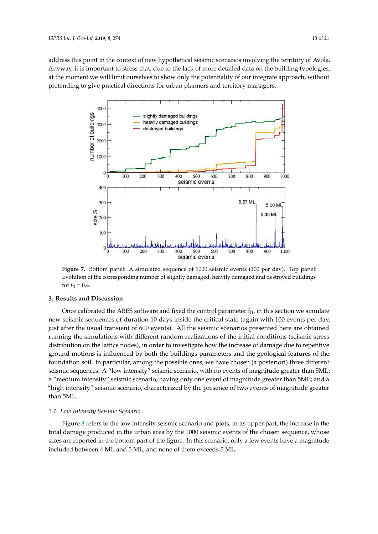address this point in the context of new hypothetical seismic scenarios involving the territory of Avola. Anyway, it is important to stress that, due to the lack of more detailed data on the building typologies, at the moment we will limit ourselves to show only the potentiality of our integrate approach, without pretending to give practical directions for urban planners and territory managers. managers.

<span id="page-12-0"></span>

**Figure 7.** Bottom panel: A simulated sequence of 1000 seismic events (100 per day). Top panel: **Figure 7.** Bottom panel: A simulated sequence of 1000 seismic events (100 per day). Top panel: Evolution of the corresponding number of slightly damaged, heavily damaged and destroyed Evolution of the corresponding number of slightly damaged, heavily damaged and destroyed buildings for  $f_B = 0.4$ .

### **3. Results and Discussion 3. Results and Discussion**

Once calibrated the ABES software and fixed the control parameter  $f_B$ , in this section we simulate new seismic sequences of duration 10 days inside the critical state (again with 100 events per day, just after the usual transient of 600 events). All the seismic scenarios presented here are obtained just after the usual transient of 600 events). All the seismic scenarios presented here are obtained running the simulations with different random realizations of the initial conditions (seismic stress  $\ddot{v}$ distribution on the lattice nodes), in order to investigate how the increase of damage due to repetitive distribution on the lattice nodes), in order to investigate how the increase of damage due to repetitive ground motions is influenced by both the buildings parameters and the geological features of the ground motions is influenced by both the buildings parameters and the geological features of the foundation soil. In particular, among the possible ones, we have chosen (a posteriori) three different foundation soil. In particular, among the possible ones, we have chosen (a posteriori) three different seismic sequences: A "low intensity" seismic scenario, with no events of magnitude greater than 5ML;<br> a "medium intensity" seismic scenario, having only one event of magnitude greater than 5ML; and a a "medium intensity" seismic scenario, having only one event of magnitude greater than 5ML; and a "high intensity" seismic scenario, characterized by the presence of two events of magnitude greater "high intensity" seismic scenario, characterized by the presence of two events of magnitude greater than 5ML. than 5ML.

# *3.1. Low Intensity Seismic Scenario 3.1. Low Intensity Seismic Scenario*

Figure 8 refers to the low intensity seismic scenario and plots, in its upper part, the increase in total damage produced in the urban area by the 1000 seismic events of the chosen sequence, whose the total damage produced in the urban area by the 1000 seismic events of the chosen sequence, sizes are reported in the bottom part of the figure. In this scenario, only a few events have a magnitude whose sizes are reported in the bottom part of the figure. In this scenario, only a few events have a mangement included between 4 ML and 5 ML, and none of them exceeds 5 ML. Figure [8](#page-13-0) refers to the low intensity seismic scenario and plots, in its upper part, the increase in the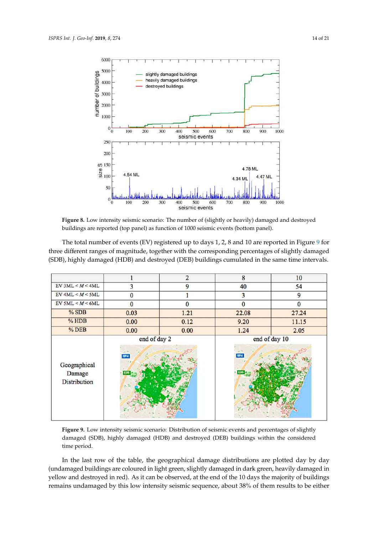<span id="page-13-0"></span>

**Figure 8.** Low intensity seismic scenario: The number of (slightly or heavily) damaged and destroyed buildings are reported (top panel) as function of 1000 seismic events (bottom panel). Figure 8. Low intensity seismic scenario: The number of (slightly or heavily) damaged and destroyed  $\mathcal{O}$  remains under this low intensity sequence, about 38% of them results to the m results to the m results to the m results to the m results to the m results to the m results to the m results to the m results to the

three different ranges of magnitude, together with the corresponding percentages of slightly damaged (SDB), highly damaged (HDB) and destroyed (DEB) buildings cumulated in the same time intervals. damaged (SDB), highly damaged (HDB) and destroyed (DEB) buildings cumulated in the same time The total number of events (EV) registered up to days 1, 2, 8 and 10 are reported in Figure 9 for

<span id="page-13-1"></span>

| % HDB<br>$%$ DEB<br>Geographical<br>Damage<br><b>Distribution</b> | 0.00<br>end of day 2<br>SP4 | 0.00 | 1.24<br><b>SDJ</b> | 2.05<br>end of day 10 |
|-------------------------------------------------------------------|-----------------------------|------|--------------------|-----------------------|
|                                                                   |                             |      |                    |                       |

**Figure 9.** Low intensity seismic scenario: Distribution of seismic events and percentages of slightly damaged (SDB), highly damaged (HDB) and destroyed (DEB) buildings within the considered time period.

In the last row of the table, the geographical damage distributions are plotted day by day (undamaged buildings are coloured in light green, slightly damaged in dark green, heavily damaged in yellow and destroyed in red). As it can be observed, at the end of the 10 days the majority of buildings remains undamaged by this low intensity seismic sequence, about 38% of them results to be either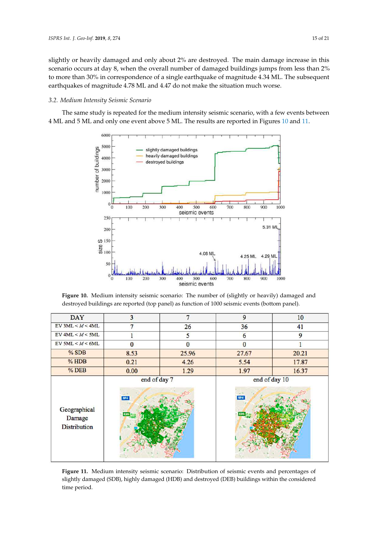slightly or heavily damaged and only about 2% are destroyed. The main damage increase in this scenario occurs at day 8, when the overall number of damaged buildings jumps from less than 2% to more than 30% in correspondence of a single earthquake of magnitude  $4.34$  ML. The subsequent earthquakes of magnitude 4.78 ML and 4.47 do not make the situation much worse.

### *3.2. Medium Intensity Seismic Scenario 3.2. Medium Intensity Seismic Scenario*

<span id="page-14-0"></span>The same study is repeated for the medium intensity seismic scenario, with a few events between The same study is repeated for the medium intensity seismic scenario, with a few events between 4 ML and 5 ML and only one event above 5 ML. The results are reported in Figures 10 and 11. 4 ML and 5 ML and only one event above 5 ML. The results are reported in Figure[s 10](#page-14-0) an[d 11](#page-14-1).



destroyed buildings are reported (top panel) as function of 1000 seismic events (bottom panel). destroyed buildings are reported (top panel) as function of  $\mathbf{r}$ **Figure 10.** Medium intensity seismic scenario: The number of (slightly or heavily) damaged and

<span id="page-14-1"></span>

| <b>DAY</b>                                    | $\overline{\mathbf{3}}$ | $\overline{7}$ | 9          | 10    |  |  |
|-----------------------------------------------|-------------------------|----------------|------------|-------|--|--|
| EV3ML < M < 4ML                               | $\overline{7}$          | 26             | 36         | 41    |  |  |
| EV4ML < M < 5ML                               |                         | 5              | 6          | 9     |  |  |
| EV $5ML < M < 6ML$                            | $\mathbf{0}$            | $\Omega$       | $\bf{0}$   |       |  |  |
| $%$ SDB                                       | 8.53                    | 25.96          | 27.67      | 20.21 |  |  |
| % HDB                                         | 0.21                    | 4.26           | 5.54       | 17.87 |  |  |
| % DEB                                         | 0.00                    | 1.29           | 1.97       | 16.37 |  |  |
| Geographical<br>Damage<br><b>Distribution</b> | 594                     |                | <b>REM</b> |       |  |  |

**Figure 11.** Medium intensity seismic scenario: Distribution of seismic events and percentages of **Figure 11.** Medium intensity seismic scenario: Distribution of seismic events and percentages of slightly damaged (SDB), highly damaged (HDB) and destroyed (DEB) buildings within the slightly damaged (SDB), highly damaged (HDB) and destroyed (DEB) buildings within the considered time period.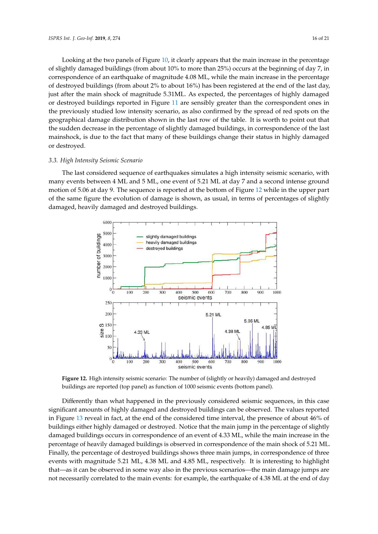Looking at the two panels of Figure [10,](#page-14-0) it clearly appears that the main increase in the percentage of slightly damaged buildings (from about 10% to more than 25%) occurs at the beginning of day 7, in correspondence of an earthquake of magnitude 4.08 ML, while the main increase in the percentage of destroyed buildings (from about 2% to about 16%) has been registered at the end of the last day, just after the main shock of magnitude 5.31ML. As expected, the percentages of highly damaged or destroyed buildings reported in Figure [11](#page-14-1) are sensibly greater than the correspondent ones in the previously studied low intensity scenario, as also confirmed by the spread of red spots on the geographical damage distribution shown in the last row of the table. It is worth to point out that the sudden decrease in the percentage of slightly damaged buildings, in correspondence of the last mainshock, is due to the fact that many of these buildings change their status in highly damaged or destroyed.

### *3.3. High Intensity Seismic Scenario*

The last considered sequence of earthquakes simulates a high intensity seismic scenario, with many events between 4 ML and 5 ML, one event of 5.21 ML at day 7 and a second intense ground motion of 5.06 at day 9. The sequence is reported at the bottom of Figure [12](#page-15-0) while in the upper part of the same figure the evolution of damage is shown, as usual, in terms of percentages of slightly damaged, heavily damaged and destroyed buildings.

<span id="page-15-0"></span>

**Figure 12.** High intensity seismic scenario: The number of (slightly or heavily) damaged and **Figure 12.** High intensity seismic scenario: The number of (slightly or heavily) damaged and destroyed buildings are reported (top panel) as function of 1000 seismic events (bottom panel).

Differently than what happened in the previously considered seismic sequences, in this case significant amounts of highly damaged and destroyed buildings can be observed. The values reported in Figure [13](#page-16-0) reveal in fact, at the end of the considered time interval, the presence of about  $46\%$  of buildings either highly damaged or destroyed. Notice that the main jump in the percentage of slightly damaged buildings occurs in correspondence of an event of 4.33 ML, while the main increase in the percentage of heavily damaged buildings is observed in correspondence of the main shock of 5.21 ML. Finally, the percentage of destroyed buildings shows three main jumps, in correspondence of three events with magnitude 5.21 ML, 4.38 ML and 4.85 ML, respectively. It is interesting to highlight that—as it can be observed in some way also in the previous scenarios—the main damage jumps are not necessarily correlated to the main events: for example, the earthquake of 4.38 ML at the end of day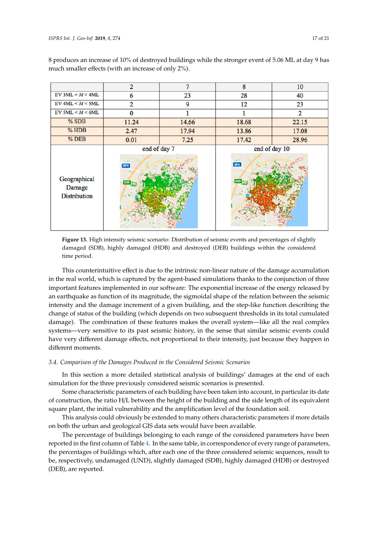<span id="page-16-0"></span>

|                                               | 2              | $\overline{7}$ | $\boldsymbol{8}$ | 10    |  |  |
|-----------------------------------------------|----------------|----------------|------------------|-------|--|--|
| EV3ML < M < 4ML                               | 6              | 23             | 28               | 40    |  |  |
| EV 4ML < M < 5ML                              | $\overline{2}$ | 9              | 12<br>23         |       |  |  |
| $EV$ 5ML < $M$ < 6ML                          | $\bf{0}$       |                | 2                |       |  |  |
| $%$ SDB                                       | 11.24          | 14.66          | 18.68            | 22.15 |  |  |
| % HDB                                         | 2.47           | 17.94          | 13.86            | 17.08 |  |  |
| % DEB                                         | 0.01           | 7.25           | 17.42            | 28.96 |  |  |
| Geographical<br>Damage<br><b>Distribution</b> | 5P4            |                | 5P4              |       |  |  |

8 produces an increase of 10% of destroyed buildings while the stronger event of 5.06 ML at day 9 has much smaller effects (with an increase of only 2%).

**Figure 13.** High intensity seismic scenario: Distribution of seismic events and percentages of slightly intensity seismic events and percentages of slightly damaged (SDB), highly damaged (HDB) and destroyed (DEB) buildings within the considered time period.

This counterintuitive effect is due to the intrinsic non-linear nature of the damage accumulation in the real world, which is captured by the agent-based simulations thanks to the conjunction of three important features implemented in our software: The exponential increase of the energy released by an earthquake as function of its magnitude, the sigmoidal shape of the relation between the seismic intensity and the damage increment of a given building, and the step-like function describing the change of status of the building (which depends on two subsequent thresholds in its total cumulated damage). The combination of these features makes the overall system—like all the real complex systems—very sensitive to its past seismic history, in the sense that similar seismic events could have very different damage effects, not proportional to their intensity, just because they happen in different moments.

### *3.4. Comparison of the Damages Produced in the Considered Seismic Scenarios*

In this section a more detailed statistical analysis of buildings' damages at the end of each simulation for the three previously considered seismic scenarios is presented.

Some characteristic parameters of each building have been taken into account, in particular its date of construction, the ratio H/L between the height of the building and the side length of its equivalent square plant, the initial vulnerability and the amplification level of the foundation soil.

This analysis could obviously be extended to many others characteristic parameters if more details on both the urban and geological GIS data sets would have been available.

The percentage of buildings belonging to each range of the considered parameters have been reported in the first column of Table [4.](#page-17-0) In the same table, in correspondence of every range of parameters, the percentages of buildings which, after each one of the three considered seismic sequences, result to be, respectively, undamaged (UND), slightly damaged (SDB), highly damaged (HDB) or destroyed (DEB), are reported.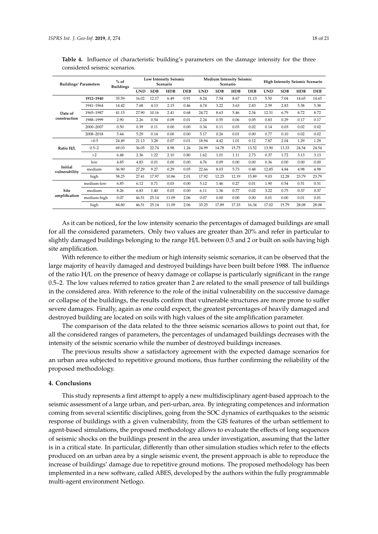| <b>Buildings' Parameters</b> |                   | $%$ of<br><b>Buildings</b> | <b>Low Intensity Seismic</b><br>Scenario |            |            | <b>Medium Intensity Seismic</b><br>Scenario |            |            | <b>High Intensity Seismic Scenario</b> |            |            |            |       |            |
|------------------------------|-------------------|----------------------------|------------------------------------------|------------|------------|---------------------------------------------|------------|------------|----------------------------------------|------------|------------|------------|-------|------------|
|                              |                   |                            | <b>UND</b>                               | <b>SDB</b> | <b>HDB</b> | <b>DEB</b>                                  | <b>UND</b> | <b>SDB</b> | HDB                                    | <b>DEB</b> | <b>UND</b> | <b>SDB</b> | HDB   | <b>DEB</b> |
|                              | 1912-1940         | 35.59                      | 16.02                                    | 12.17      | 6.49       | 0.91                                        | 8.24       | 7.54       | 8.67                                   | 11.13      | 5.50       | 7.04       | 14.65 | 14.65      |
|                              | 1941-1964         | 14.42                      | 7.68                                     | 4.13       | 2.15       | 0.46                                        | 4.74       | 3.22       | 3.63                                   | 2.83       | 2.59       | 2.83       | 5.38  | 5.38       |
| Date of                      | 1965-1987         | 41.15                      | 27.90                                    | 10.16      | 2.41       | 0.68                                        | 24.72      | 8.63       | 5.46                                   | 2.34       | 12.31      | 6.79       | 8.72  | 8.72       |
| construction                 | 1988-1999<br>2.90 |                            | 2.26                                     | 0.54       | 0.09       | 0.01                                        | 2.24       | 0.55       | 0.06                                   | 0.05       | 0.83       | 0.29       | 0.17  | 0.17       |
|                              | 2000-2007         | 0.50                       | 0.39                                     | 0.11       | 0.00       | 0.00                                        | 0.34       | 0.11       | 0.03                                   | 0.02       | 0.14       | 0.03       | 0.02  | 0.02       |
|                              | 2008-2018         | 5.44                       | 5.29                                     | 0.14       | 0.00       | 0.00                                        | 5.17       | 0.26       | 0.01                                   | 0.00       | 0.77       | 0.10       | 0.02  | 0.02       |
| Ratio H/L                    | < 0.5             | 24.49                      | 21.13                                    | 3.28       | 0.07       | 0.01                                        | 18.94      | 4.42       | 1.01                                   | 0.12       | 7.87       | 2.04       | 1.29  | 1.29       |
|                              | $0.5 - 2$         | 69.03                      | 36.05                                    | 22.74      | 8.98       | 1.26                                        | 24.99      | 14.78      | 15.75                                  | 13.52      | 13.90      | 13.33      | 24.54 | 24.54      |
|                              | >2                | 6.48                       | 2.36                                     | 1.22       | 2.10       | 0.80                                        | 1.62       | 1.01       | 1.11                                   | 2.73       | 0.37       | 1.72       | 3.13  | 3.13       |
|                              | low               | 4.85                       | 4.83                                     | 0.01       | 0.00       | 0.00                                        | 4.76       | 0.09       | 0.00                                   | 0.00       | 0.36       | 0.00       | 0.00  | 0.00       |
| Initial<br>vulnerability     | medium            | 36.90                      | 27.29                                    | 9.27       | 0.29       | 0.05                                        | 22.66      | 8.03       | 5.73                                   | 0.48       | 12.85      | 4.84       | 4.98  | 4.98       |
|                              | high              | 58.25                      | 27.41                                    | 17.97      | 10.86      | 2.01                                        | 17.92      | 12.25      | 12.19                                  | 15.89      | 9.03       | 12.28      | 23.79 | 23.79      |
|                              | medium-low        | 6.85                       | 6.12                                     | 0.71       | 0.03       | 0.00                                        | 5.12       | 1.46       | 0.27                                   | 0.01       | 1.90       | 0.54       | 0.51  | 0.51       |
| Site                         | medium            | 8.26                       | 6.83                                     | 1.40       | 0.03       | 0.00                                        | 6.11       | 1.36       | 0.77                                   | 0.02       | 3.22       | 0.75       | 0.37  | 0.37       |
| amplification                | medium-high       | 0.07                       | 46.51                                    | 25.14      | 11.09      | 2.06                                        | 0.07       | 0.00       | 0.00                                   | 0.00       | 0.01       | 0.00       | 0.01  | 0.01       |
|                              | high              | 84.80                      | 46.51                                    | 25.14      | 11.09      | 2.06                                        | 33.25      | 17.89      | 17.33                                  | 16.34      | 17.02      | 15.79      | 28.08 | 28.08      |

<span id="page-17-0"></span>**Table 4.** Influence of characteristic building's parameters on the damage intensity for the three considered seismic scenarios.

As it can be noticed, for the low intensity scenario the percentages of damaged buildings are small for all the considered parameters. Only two values are greater than 20% and refer in particular to slightly damaged buildings belonging to the range H/L between 0.5 and 2 or built on soils having high site amplification.

With reference to either the medium or high intensity seismic scenarios, it can be observed that the large majority of heavily damaged and destroyed buildings have been built before 1988. The influence of the ratio H/L on the presence of heavy damage or collapse is particularly significant in the range 0.5–2. The low values referred to ratios greater than 2 are related to the small presence of tall buildings in the considered area. With reference to the role of the initial vulnerability on the successive damage or collapse of the buildings, the results confirm that vulnerable structures are more prone to suffer severe damages. Finally, again as one could expect, the greatest percentages of heavily damaged and destroyed building are located on soils with high values of the site amplification parameter.

The comparison of the data related to the three seismic scenarios allows to point out that, for all the considered ranges of parameters, the percentages of undamaged buildings decreases with the intensity of the seismic scenario while the number of destroyed buildings increases.

The previous results show a satisfactory agreement with the expected damage scenarios for an urban area subjected to repetitive ground motions, thus further confirming the reliability of the proposed methodology.

#### **4. Conclusions**

This study represents a first attempt to apply a new multidisciplinary agent-based approach to the seismic assessment of a large urban, and peri-urban, area. By integrating competences and information coming from several scientific disciplines, going from the SOC dynamics of earthquakes to the seismic response of buildings with a given vulnerability, from the GIS features of the urban settlement to agent-based simulations, the proposed methodology allows to evaluate the effects of long sequences of seismic shocks on the buildings present in the area under investigation, assuming that the latter is in a critical state. In particular, differently than other simulation studies which refer to the effects produced on an urban area by a single seismic event, the present approach is able to reproduce the increase of buildings' damage due to repetitive ground motions. The proposed methodology has been implemented in a new software, called ABES, developed by the authors within the fully programmable multi-agent environment Netlogo.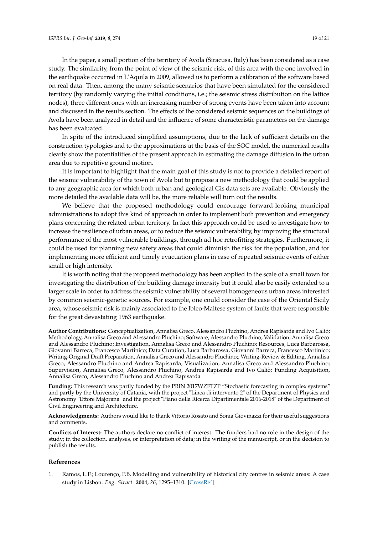In the paper, a small portion of the territory of Avola (Siracusa, Italy) has been considered as a case study. The similarity, from the point of view of the seismic risk, of this area with the one involved in the earthquake occurred in L'Aquila in 2009, allowed us to perform a calibration of the software based on real data. Then, among the many seismic scenarios that have been simulated for the considered territory (by randomly varying the initial conditions, i.e.; the seismic stress distribution on the lattice nodes), three different ones with an increasing number of strong events have been taken into account and discussed in the results section. The effects of the considered seismic sequences on the buildings of Avola have been analyzed in detail and the influence of some characteristic parameters on the damage has been evaluated.

In spite of the introduced simplified assumptions, due to the lack of sufficient details on the construction typologies and to the approximations at the basis of the SOC model, the numerical results clearly show the potentialities of the present approach in estimating the damage diffusion in the urban area due to repetitive ground motion.

It is important to highlight that the main goal of this study is not to provide a detailed report of the seismic vulnerability of the town of Avola but to propose a new methodology that could be applied to any geographic area for which both urban and geological Gis data sets are available. Obviously the more detailed the available data will be, the more reliable will turn out the results.

We believe that the proposed methodology could encourage forward-looking municipal administrations to adopt this kind of approach in order to implement both prevention and emergency plans concerning the related urban territory. In fact this approach could be used to investigate how to increase the resilience of urban areas, or to reduce the seismic vulnerability, by improving the structural performance of the most vulnerable buildings, through ad hoc retrofitting strategies. Furthermore, it could be used for planning new safety areas that could diminish the risk for the population, and for implementing more efficient and timely evacuation plans in case of repeated seismic events of either small or high intensity.

It is worth noting that the proposed methodology has been applied to the scale of a small town for investigating the distribution of the building damage intensity but it could also be easily extended to a larger scale in order to address the seismic vulnerability of several homogeneous urban areas interested by common seismic-genetic sources. For example, one could consider the case of the Oriental Sicily area, whose seismic risk is mainly associated to the Ibleo-Maltese system of faults that were responsible for the great devastating 1963 earthquake.

**Author Contributions:** Conceptualization, Annalisa Greco, Alessandro Pluchino, Andrea Rapisarda and Ivo Caliò; Methodology, Annalisa Greco and Alessandro Pluchino; Software, Alessandro Pluchino; Validation, Annalisa Greco and Alessandro Pluchino; Investigation, Annalisa Greco and Alessandro Pluchino; Resources, Luca Barbarossa, Giovanni Barreca, Francesco Martinico; Data Curation, Luca Barbarossa, Giovanni Barreca, Francesco Martinico; Writing-Original Draft Preparation, Annalisa Greco and Alessandro Pluchino;; Writing-Review & Editing, Annalisa Greco, Alessandro Pluchino and Andrea Rapisarda; Visualization, Annalisa Greco and Alessandro Pluchino; Supervision, Annalisa Greco, Alessandro Pluchino, Andrea Rapisarda and Ivo Caliò; Funding Acquisition, Annalisa Greco, Alessandro Pluchino and Andrea Rapisarda

**Funding:** This research was partly funded by the PRIN 2017WZFTZP "Stochastic forecasting in complex systems" and partly by the University of Catania, with the project "Linea di intervento 2" of the Department of Physics and Astronomy "Ettore Majorana" and the project "Piano della Ricerca Dipartimentale 2016-2018" of the Department of Civil Engineering and Architecture.

**Acknowledgments:** Authors would like to thank Vittorio Rosato and Sonia Giovinazzi for their useful suggestions and comments.

**Conflicts of Interest:** The authors declare no conflict of interest. The funders had no role in the design of the study; in the collection, analyses, or interpretation of data; in the writing of the manuscript, or in the decision to publish the results.

### **References**

<span id="page-18-0"></span>1. Ramos, L.F.; Lourenço, P.B. Modelling and vulnerability of historical city centres in seismic areas: A case study in Lisbon. *Eng. Struct.* **2004**, *26*, 1295–1310. [\[CrossRef\]](http://dx.doi.org/10.1016/j.engstruct.2004.04.008)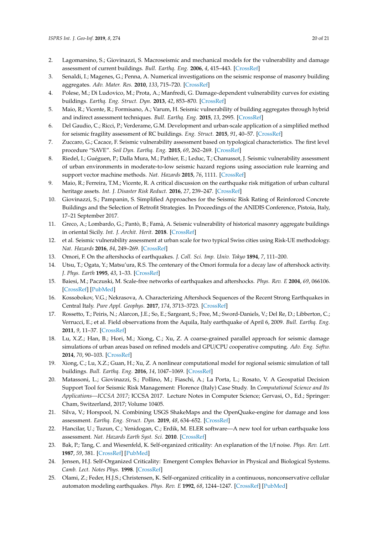- <span id="page-19-15"></span>2. Lagomarsino, S.; Giovinazzi, S. Macroseismic and mechanical models for the vulnerability and damage assessment of current buildings. *Bull. Earthq. Eng.* **2006**, *4*, 415–443. [\[CrossRef\]](http://dx.doi.org/10.1007/s10518-006-9024-z)
- <span id="page-19-1"></span>3. Senaldi, I.; Magenes, G.; Penna, A. Numerical investigations on the seismic response of masonry building aggregates. *Adv. Mater. Res.* **2010**, *133*, 715–720. [\[CrossRef\]](http://dx.doi.org/10.4028/www.scientific.net/AMR.133-134.715)
- 4. Polese, M.; Di Ludovico, M.; Prota, A.; Manfredi, G. Damage-dependent vulnerability curves for existing buildings. *Earthq. Eng. Struct. Dyn.* **2013**, *42*, 853–870. [\[CrossRef\]](http://dx.doi.org/10.1002/eqe.2249)
- 5. Maio, R.; Vicente, R.; Formisano, A.; Varum, H. Seismic vulnerability of building aggregates through hybrid and indirect assessment techniques. *Bull. Earthq. Eng.* **2015**, *13*, 2995. [\[CrossRef\]](http://dx.doi.org/10.1007/s10518-015-9747-9)
- 6. Del Gaudio, C.; Ricci, P.; Verderame, G.M. Development and urban-scale application of a simplified method for seismic fragility assessment of RC buildings. *Eng. Struct.* **2015**, *91*, 40–57. [\[CrossRef\]](http://dx.doi.org/10.1016/j.engstruct.2015.01.031)
- 7. Zuccaro, G.; Cacace, F. Seismic vulnerability assessment based on typological characteristics. The first level procedure "SAVE". *Soil Dyn. Earthq. Eng.* **2015**, *69*, 262–269. [\[CrossRef\]](http://dx.doi.org/10.1016/j.soildyn.2014.11.003)
- 8. Riedel, I.; Guéguen, P.; Dalla Mura, M.; Pathier, E.; Leduc, T.; Chanussot, J. Seismic vulnerability assessment of urban environments in moderate-to-low seismic hazard regions using association rule learning and support vector machine methods. *Nat. Hazards* **2015**, *76*, 1111. [\[CrossRef\]](http://dx.doi.org/10.1007/s11069-014-1538-0)
- 9. Maio, R.; Ferreira, T.M.; Vicente, R. A critical discussion on the earthquake risk mitigation of urban cultural heritage assets. *Int. J. Disaster Risk Reduct.* **2016**, *27*, 239–247. [\[CrossRef\]](http://dx.doi.org/10.1016/j.ijdrr.2017.10.010)
- <span id="page-19-2"></span>10. Giovinazzi, S.; Pampanin, S. Simplified Approaches for the Seismic Risk Rating of Reinforced Concrete Buildings and the Selection of Retrofit Strategies. In Proceedings of the ANIDIS Conference, Pistoia, Italy, 17–21 September 2017.
- <span id="page-19-3"></span>11. Greco, A.; Lombardo, G.; Pantò, B.; Famà, A. Seismic vulnerability of historical masonry aggregate buildings in oriental Sicily. *Int. J. Archit. Herit.* **2018**. [\[CrossRef\]](http://dx.doi.org/10.1080/15583058.2018.1553075)
- <span id="page-19-0"></span>12. et al. Seismic vulnerability assessment at urban scale for two typical Swiss cities using Risk-UE methodology. *Nat. Hazards* **2016**, *84*, 249–269. [\[CrossRef\]](http://dx.doi.org/10.1007/s11069-016-2420-z)
- <span id="page-19-4"></span>13. Omori, F. On the aftershocks of earthquakes. *J. Coll. Sci. Imp. Univ. Tokyo* **1894**, *7*, 111–200.
- 14. Utsu, T.; Ogata, Y.; Matsu'ura, R.S. The centenary of the Omori formula for a decay law of aftershock activity. *J. Phys. Earth* **1995**, *43*, 1–33. [\[CrossRef\]](http://dx.doi.org/10.4294/jpe1952.43.1)
- 15. Baiesi, M.; Paczuski, M. Scale-free networks of earthquakes and aftershocks. *Phys. Rev. E* **2004**, *69*, 066106. [\[CrossRef\]](http://dx.doi.org/10.1103/PhysRevE.69.066106) [\[PubMed\]](http://www.ncbi.nlm.nih.gov/pubmed/15244666)
- <span id="page-19-5"></span>16. Kossobokov, V.G.; Nekrasova, A. Characterizing Aftershock Sequences of the Recent Strong Earthquakes in Central Italy. *Pure Appl. Geophys.* **2017**, *174*, 3713–3723. [\[CrossRef\]](http://dx.doi.org/10.1007/s00024-017-1624-9)
- <span id="page-19-6"></span>17. Rossetto, T.; Peiris, N.; Alarcon, J.E.; So, E.; Sargeant, S.; Free, M.; Sword-Daniels, V.; Del Re, D.; Libberton, C.; Verrucci, E.; et al. Field observations from the Aquila, Italy earthquake of April 6, 2009. *Bull. Earthq. Eng.* **2011**, *9*, 11–37. [\[CrossRef\]](http://dx.doi.org/10.1007/s10518-010-9221-7)
- <span id="page-19-7"></span>18. Lu, X.Z.; Han, B.; Hori, M.; Xiong, C.; Xu, Z. A coarse-grained parallel approach for seismic damage simulations of urban areas based on refined models and GPU/CPU cooperative computing. *Adv. Eng. Softw.* **2014**, *70*, 90–103. [\[CrossRef\]](http://dx.doi.org/10.1016/j.advengsoft.2014.01.010)
- <span id="page-19-9"></span>19. Xiong, C.; Lu, X.Z.; Guan, H.; Xu, Z. A nonlinear computational model for regional seismic simulation of tall buildings. *Bull. Earthq. Eng.* **2016**, *14*, 1047–1069. [\[CrossRef\]](http://dx.doi.org/10.1007/s10518-016-9880-0)
- <span id="page-19-10"></span>20. Matassoni, L.; Giovinazzi, S.; Pollino, M.; Fiaschi, A.; La Porta, L.; Rosato, V. A Geospatial Decision Support Tool for Seismic Risk Management: Florence (Italy) Case Study. In *Computational Science and Its Applications—ICCSA 2017*; ICCSA 2017. Lecture Notes in Computer Science; Gervasi, O., Ed.; Springer: Cham, Switzerland, 2017; Volume 10405.
- <span id="page-19-11"></span>21. Silva, V.; Horspool, N. Combining USGS ShakeMaps and the OpenQuake-engine for damage and loss assessment. *Earthq. Eng. Struct. Dyn.* **2019**, *48*, 634–652. [\[CrossRef\]](http://dx.doi.org/10.1002/eqe.3154)
- <span id="page-19-8"></span>22. Hancilar, U.; Tuzun, C.; Yenidogan, C.; Erdik, M. ELER software—A new tool for urban earthquake loss assessment. *Nat. Hazards Earth Syst. Sci.* **2010**. [\[CrossRef\]](http://dx.doi.org/10.5194/nhess-10-2677-2010)
- <span id="page-19-12"></span>23. Bak, P.; Tang, C. and Wiesenfeld, K. Self-organized criticality: An explanation of the 1/f noise. *Phys. Rev. Lett.* **1987**, *59*, 381. [\[CrossRef\]](http://dx.doi.org/10.1103/PhysRevLett.59.381) [\[PubMed\]](http://www.ncbi.nlm.nih.gov/pubmed/10035754)
- <span id="page-19-13"></span>24. Jensen, H.J. Self-Organized Criticality: Emergent Complex Behavior in Physical and Biological Systems. *Camb. Lect. Notes Phys.* **1998**. [\[CrossRef\]](http://dx.doi.org/10.1017/CBO9780511622717)
- <span id="page-19-14"></span>25. Olami, Z.; Feder, H.J.S.; Christensen, K. Self-organized criticality in a continuous, nonconservative cellular automaton modeling earthquakes. *Phys. Rev. E* **1992**, *68*, 1244–1247. [\[CrossRef\]](http://dx.doi.org/10.1103/PhysRevLett.68.1244) [\[PubMed\]](http://www.ncbi.nlm.nih.gov/pubmed/10046116)